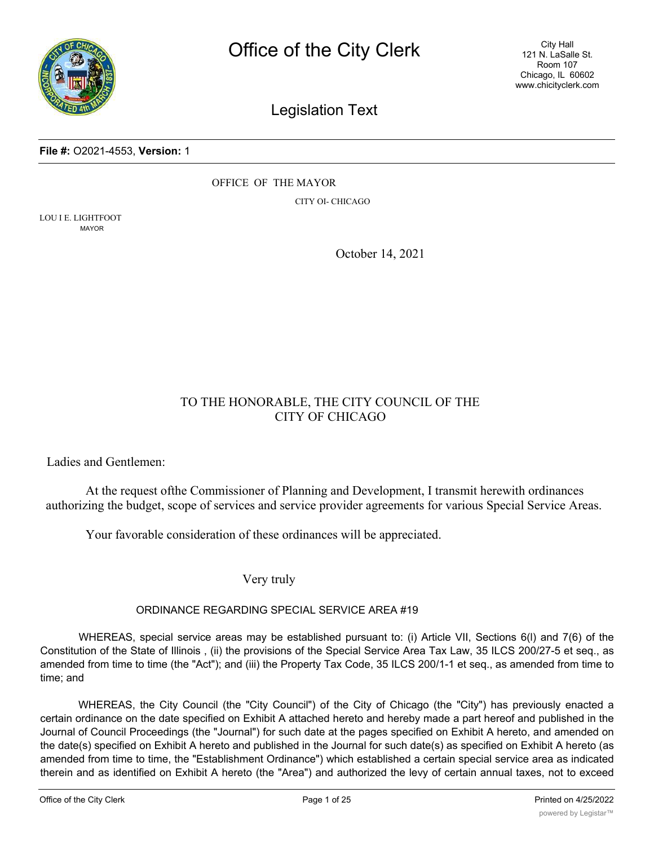

City Hall 121 N. LaSalle St. Room 107 Chicago, IL 60602 www.chicityclerk.com

# Legislation Text

#### **File #:** O2021-4553, **Version:** 1

OFFICE OF THE MAYOR

CITY OI- CHICAGO

LOU I E. LIGHTFOOT MAYOR

October 14, 2021

# TO THE HONORABLE, THE CITY COUNCIL OF THE CITY OF CHICAGO

Ladies and Gentlemen:

At the request ofthe Commissioner of Planning and Development, I transmit herewith ordinances authorizing the budget, scope of services and service provider agreements for various Special Service Areas.

Your favorable consideration of these ordinances will be appreciated.

Very truly

#### ORDINANCE REGARDING SPECIAL SERVICE AREA #19

WHEREAS, special service areas may be established pursuant to: (i) Article VII, Sections 6(l) and 7(6) of the Constitution of the State of Illinois , (ii) the provisions of the Special Service Area Tax Law, 35 ILCS 200/27-5 et seq., as amended from time to time (the "Act"); and (iii) the Property Tax Code, 35 ILCS 200/1-1 et seq., as amended from time to time; and

WHEREAS, the City Council (the "City Council") of the City of Chicago (the "City") has previously enacted a certain ordinance on the date specified on Exhibit A attached hereto and hereby made a part hereof and published in the Journal of Council Proceedings (the "Journal") for such date at the pages specified on Exhibit A hereto, and amended on the date(s) specified on Exhibit A hereto and published in the Journal for such date(s) as specified on Exhibit A hereto (as amended from time to time, the "Establishment Ordinance") which established a certain special service area as indicated therein and as identified on Exhibit A hereto (the "Area") and authorized the levy of certain annual taxes, not to exceed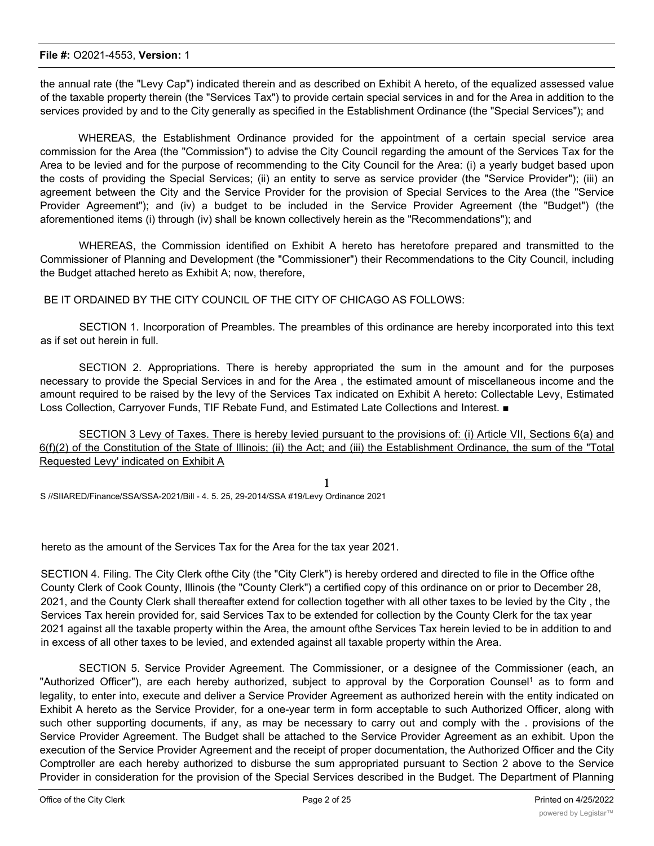the annual rate (the "Levy Cap") indicated therein and as described on Exhibit A hereto, of the equalized assessed value of the taxable property therein (the "Services Tax") to provide certain special services in and for the Area in addition to the services provided by and to the City generally as specified in the Establishment Ordinance (the "Special Services"); and

WHEREAS, the Establishment Ordinance provided for the appointment of a certain special service area commission for the Area (the "Commission") to advise the City Council regarding the amount of the Services Tax for the Area to be levied and for the purpose of recommending to the City Council for the Area: (i) a yearly budget based upon the costs of providing the Special Services; (ii) an entity to serve as service provider (the "Service Provider"); (iii) an agreement between the City and the Service Provider for the provision of Special Services to the Area (the "Service Provider Agreement"); and (iv) a budget to be included in the Service Provider Agreement (the "Budget") (the aforementioned items (i) through (iv) shall be known collectively herein as the "Recommendations"); and

WHEREAS, the Commission identified on Exhibit A hereto has heretofore prepared and transmitted to the Commissioner of Planning and Development (the "Commissioner") their Recommendations to the City Council, including the Budget attached hereto as Exhibit A; now, therefore,

BE IT ORDAINED BY THE CITY COUNCIL OF THE CITY OF CHICAGO AS FOLLOWS:

SECTION 1. Incorporation of Preambles. The preambles of this ordinance are hereby incorporated into this text as if set out herein in full.

SECTION 2. Appropriations. There is hereby appropriated the sum in the amount and for the purposes necessary to provide the Special Services in and for the Area , the estimated amount of miscellaneous income and the amount required to be raised by the levy of the Services Tax indicated on Exhibit A hereto: Collectable Levy, Estimated Loss Collection, Carryover Funds, TIF Rebate Fund, and Estimated Late Collections and Interest. ■

SECTION 3 Levy of Taxes. There is hereby levied pursuant to the provisions of: (i) Article VII, Sections 6(a) and 6(f)(2) of the Constitution of the State of Illinois; (ii) the Act; and (iii) the Establishment Ordinance, the sum of the "Total Requested Levy' indicated on Exhibit A

1 S //SIIARED/Finance/SSA/SSA-2021/Bill - 4. 5. 25, 29-2014/SSA #19/Levy Ordinance 2021

hereto as the amount of the Services Tax for the Area for the tax year 2021.

SECTION 4. Filing. The City Clerk ofthe City (the "City Clerk") is hereby ordered and directed to file in the Office ofthe County Clerk of Cook County, Illinois (the "County Clerk") a certified copy of this ordinance on or prior to December 28, 2021, and the County Clerk shall thereafter extend for collection together with all other taxes to be levied by the City , the Services Tax herein provided for, said Services Tax to be extended for collection by the County Clerk for the tax year 2021 against all the taxable property within the Area, the amount ofthe Services Tax herein levied to be in addition to and in excess of all other taxes to be levied, and extended against all taxable property within the Area.

SECTION 5. Service Provider Agreement. The Commissioner, or a designee of the Commissioner (each, an "Authorized Officer"), are each hereby authorized, subject to approval by the Corporation Counsel<sup>1</sup> as to form and legality, to enter into, execute and deliver a Service Provider Agreement as authorized herein with the entity indicated on Exhibit A hereto as the Service Provider, for a one-year term in form acceptable to such Authorized Officer, along with such other supporting documents, if any, as may be necessary to carry out and comply with the . provisions of the Service Provider Agreement. The Budget shall be attached to the Service Provider Agreement as an exhibit. Upon the execution of the Service Provider Agreement and the receipt of proper documentation, the Authorized Officer and the City Comptroller are each hereby authorized to disburse the sum appropriated pursuant to Section 2 above to the Service Provider in consideration for the provision of the Special Services described in the Budget. The Department of Planning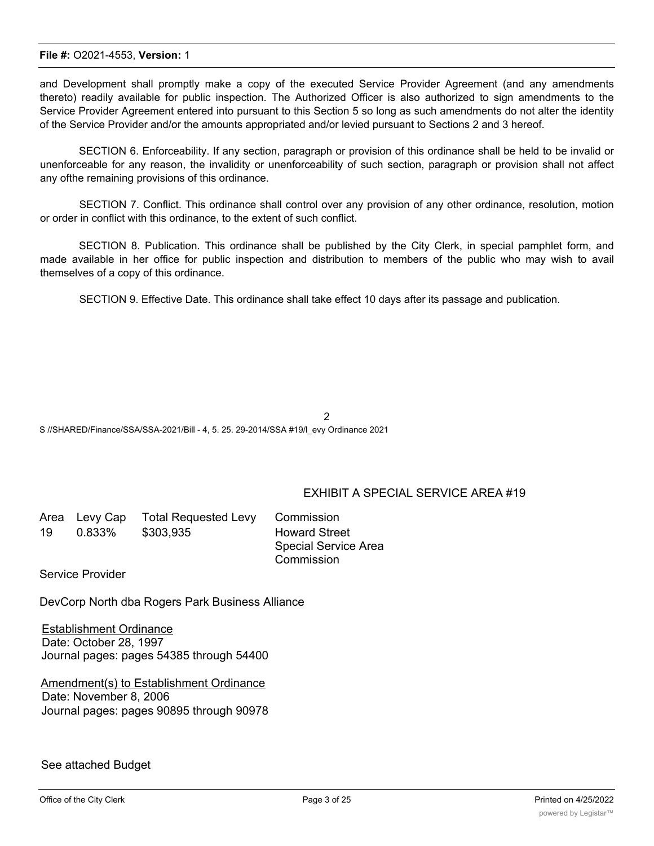and Development shall promptly make a copy of the executed Service Provider Agreement (and any amendments thereto) readily available for public inspection. The Authorized Officer is also authorized to sign amendments to the Service Provider Agreement entered into pursuant to this Section 5 so long as such amendments do not alter the identity of the Service Provider and/or the amounts appropriated and/or levied pursuant to Sections 2 and 3 hereof.

SECTION 6. Enforceability. If any section, paragraph or provision of this ordinance shall be held to be invalid or unenforceable for any reason, the invalidity or unenforceability of such section, paragraph or provision shall not affect any ofthe remaining provisions of this ordinance.

SECTION 7. Conflict. This ordinance shall control over any provision of any other ordinance, resolution, motion or order in conflict with this ordinance, to the extent of such conflict.

SECTION 8. Publication. This ordinance shall be published by the City Clerk, in special pamphlet form, and made available in her office for public inspection and distribution to members of the public who may wish to avail themselves of a copy of this ordinance.

SECTION 9. Effective Date. This ordinance shall take effect 10 days after its passage and publication.

2 S //SHARED/Finance/SSA/SSA-2021/Bill - 4, 5. 25. 29-2014/SSA #19/l\_evy Ordinance 2021

### EXHIBIT A SPECIAL SERVICE AREA #19

|    | Area Levy Cap | <b>Total Requested Levy</b> | Commission                  |
|----|---------------|-----------------------------|-----------------------------|
| 19 | 0.833%        | \$303,935                   | <b>Howard Street</b>        |
|    |               |                             | <b>Special Service Area</b> |
|    |               |                             | Commission                  |

Service Provider

DevCorp North dba Rogers Park Business Alliance

Establishment Ordinance Date: October 28, 1997 Journal pages: pages 54385 through 54400

Amendment(s) to Establishment Ordinance Date: November 8, 2006 Journal pages: pages 90895 through 90978

See attached Budget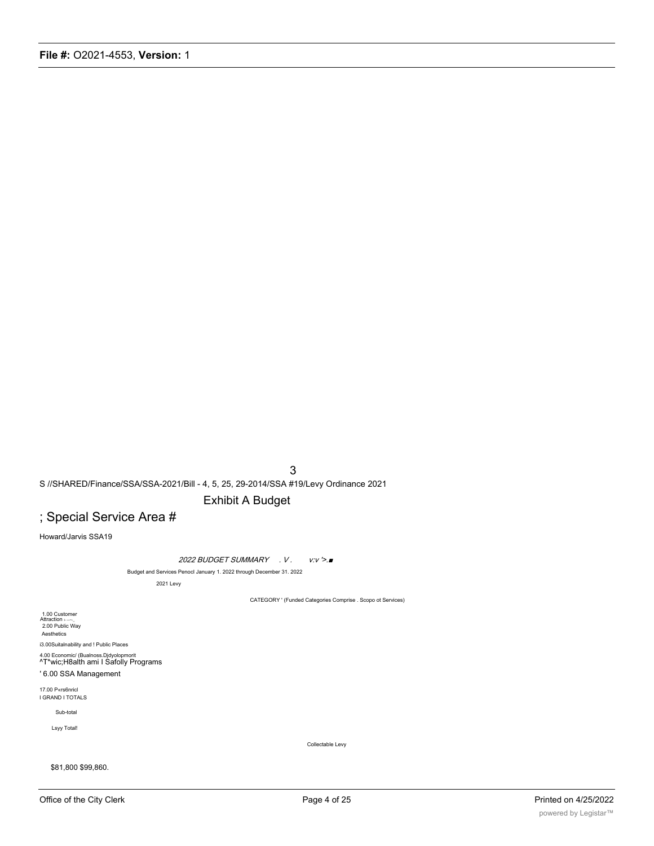3

S //SHARED/Finance/SSA/SSA-2021/Bill - 4, 5, 25, 29-2014/SSA #19/Levy Ordinance 2021

#### **Exhibit A Budget**

# ; Special Service Area #

Howard/Jarvis SSA19

2022 BUDGET SUMMARY .V.  $V:V \geq n$ 

Budget and Services Penocl January 1. 2022 through December 31. 2022 2021 Levy

CATEGORY ' (Funded Categories Comprise . Scopo ot Services)

1.00 Customer<br>Attraction<br>2.00 Public Way Aesthetics i3.00Suitalnability and ! Public Places 4.00 Economic/ (Bualnoss.Djdyolopmorit<br>^T\*wic;H8alth ami I Safolly Programs

' 6.00 SSA Management

17.00 P«rs6nricl I GRAND I TOTALS

Sub-total

Lsyy Total!

Collectable Levy

\$81,800 \$99,860.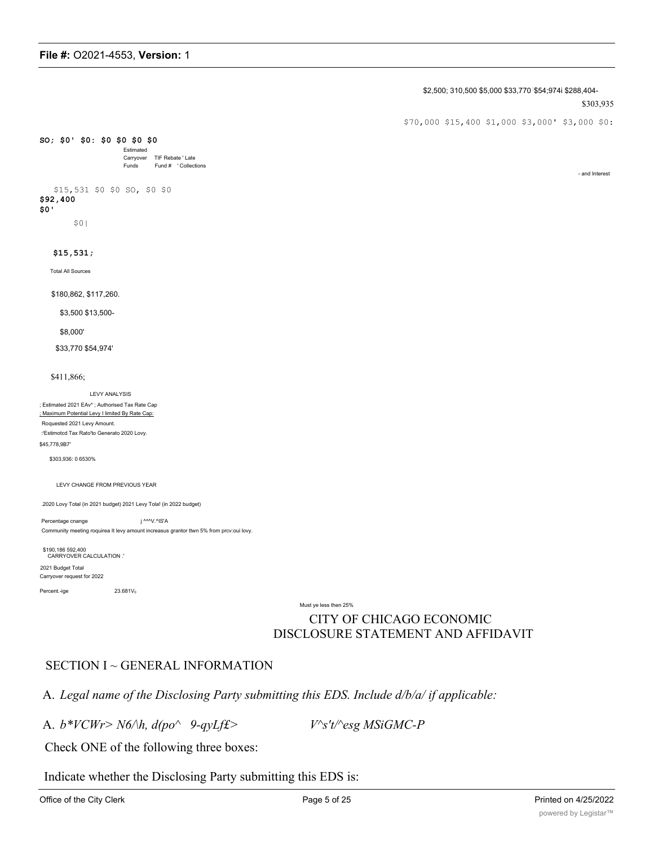#### \$2,500; 310,500 \$5,000 \$33,770 \$54;974i \$288,404-

\$303,935

- and Interest

\$70,000 \$15,400 \$1,000 \$3,000' \$3,000 \$0:

SO; \$0' \$0: \$0 \$0 \$0 \$0

Estimated Carryover TIF Rebate ' Late Fund # 'Collections Funds

#### \$15,531 \$0 \$0 SO, \$0 \$0

#### \$92,400  $$0'$

 $$0|$ 

#### $$15,531;$

Total All Sources

#### \$180,862, \$117,260.

\$3,500 \$13,500-

#### \$8,000'

\$33,770 \$54,974'

#### \$411,866;

LEVY ANALYSIS : Estimated 2021 EAv\* : Authorised Tax Rate Cap : Maximum Potential Levy I limited By Rate Cap: Roquested 2021 Levy Amount. "Estimated Tax Rato'to Generato 2020 Lovy \$45,778,9B7

\$303,936: 0.6530%

#### LEVY CHANGE FROM PREVIOUS YEAR

.2020 Lovy Total (in 2021 budget) 2021 Levy Tola! (in 2022 budget)

Percentage cnange j ^^^V.^IS'A Community meeting roquirea It levy amount increasus grantor ttwn 5% from prov:oui lovy.

\$190,186 592,400<br>'. CARRYOVER CALCULATION 2021 Budget Total Carryover request for 2022 Percent.-iae 23.681V

> Must ve less then 25% CITY OF CHICAGO ECONOMIC DISCLOSURE STATEMENT AND AFFIDAVIT

#### **SECTION I~GENERAL INFORMATION**

A. Legal name of the Disclosing Party submitting this EDS. Include d/b/a/ if applicable:

A.  $b*VCWr > N6/h$ ,  $d(po^{\wedge} 9-qyLf)$ 

 $V^{\wedge}$ s't/ $^{\wedge}$ esg MSiGMC-P

Check ONE of the following three boxes:

Indicate whether the Disclosing Party submitting this EDS is: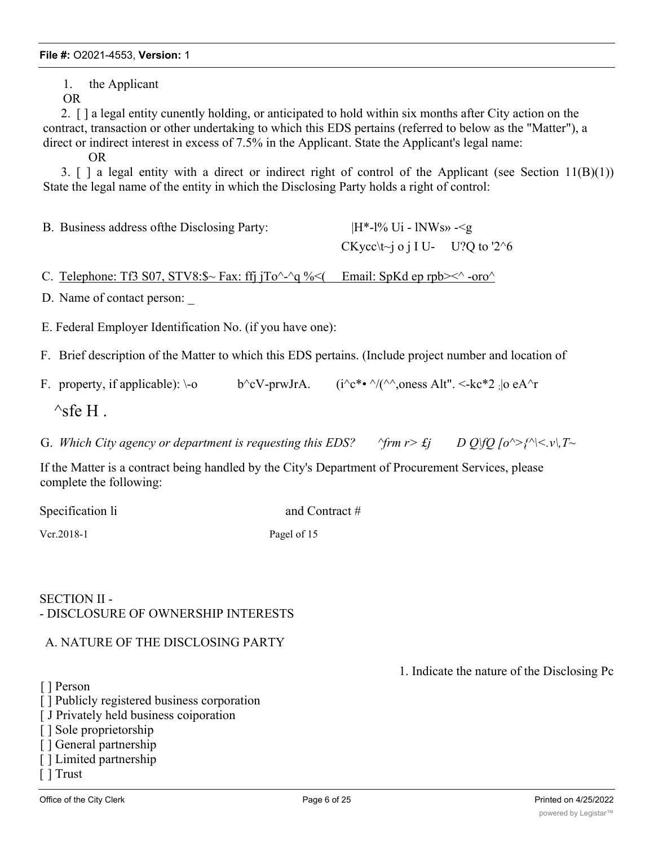1. the Applicant OR

2. [ ] a legal entity cunently holding, or anticipated to hold within six months after City action on the contract, transaction or other undertaking to which this EDS pertains (referred to below as the "Matter"), a direct or indirect interest in excess of 7.5% in the Applicant. State the Applicant's legal name:

OR

3.  $\lceil$  a legal entity with a direct or indirect right of control of the Applicant (see Section 11(B)(1)) State the legal name of the entity in which the Disclosing Party holds a right of control:

B. Business address of the Disclosing Party:  $|H^*$ -l% Ui - lNWs» -  $\leq g$ CKycc $\setminus$ t~j o j I U- U?Q to '2^6

C. Telephone: Tf3 S07, STV8:\$~ Fax: ffj jTo^-^q %<( Email: SpKd ep rpb><^ -oro^

D. Name of contact person:

E. Federal Employer Identification No. (if you have one):

F. Brief description of the Matter to which this EDS pertains. (Include project number and location of

F. property, if applicable):  $\sim$  b^cV-prwJrA. (i^c\*•  $\sim$ /(^^,oness Alt". <-kc\*2 ;|o eA^r  $\wedge$ sfe H .

G. *Which City agency or department is requesting this EDS? ^frm r> £j D Q\fQ [o^>{^\<.v\,T~*

If the Matter is a contract being handled by the City's Department of Procurement Services, please complete the following:

Specification li and Contract #

Vcr.2018-1 Pagel of 15

# SECTION II - - DISCLOSURE OF OWNERSHIP INTERESTS

# A. NATURE OF THE DISCLOSING PARTY

[ ] Person

[ ] Publicly registered business corporation

[ J Privately held business coiporation

[] Sole proprietorship

[ ] General partnership

[ ] Limited partnership

[ ] Trust

1. Indicate the nature of the Disclosing Pc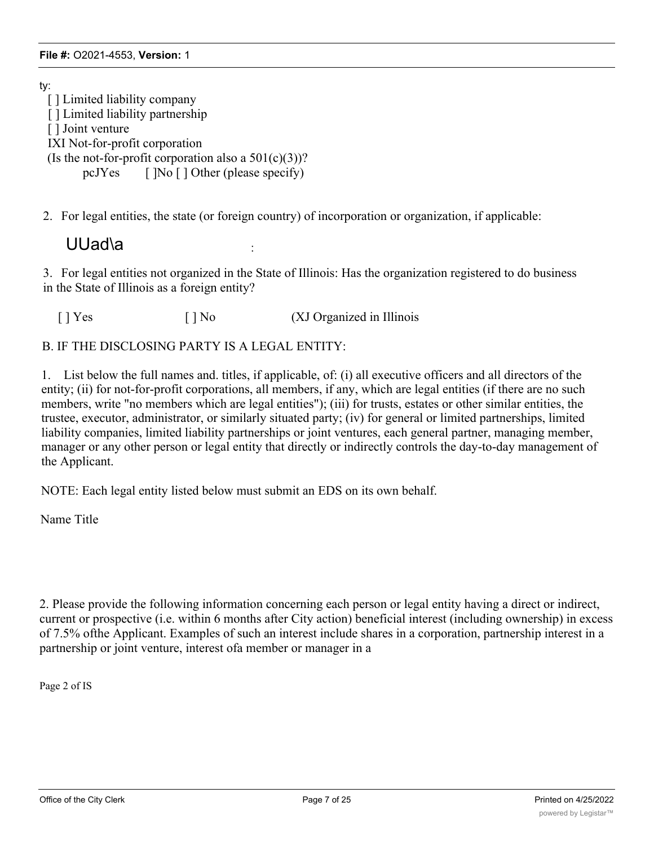ty:

[] Limited liability company [ ] Limited liability partnership [ ] Joint venture IXI Not-for-profit corporation (Is the not-for-profit corporation also a  $501(c)(3)$ )? pcJYes  $\left[ \begin{array}{cc} \text{No} \end{array} \right]$  Other (please specify)

2. For legal entities, the state (or foreign country) of incorporation or organization, if applicable:

UUad\a :

3. For legal entities not organized in the State of Illinois: Has the organization registered to do business in the State of Illinois as a foreign entity?

[ ] Yes [ ] No (XJ Organized in Illinois

B. IF THE DISCLOSING PARTY IS A LEGAL ENTITY:

1. List below the full names and. titles, if applicable, of: (i) all executive officers and all directors of the entity; (ii) for not-for-profit corporations, all members, if any, which are legal entities (if there are no such members, write "no members which are legal entities"); (iii) for trusts, estates or other similar entities, the trustee, executor, administrator, or similarly situated party; (iv) for general or limited partnerships, limited liability companies, limited liability partnerships or joint ventures, each general partner, managing member, manager or any other person or legal entity that directly or indirectly controls the day-to-day management of the Applicant.

NOTE: Each legal entity listed below must submit an EDS on its own behalf.

Name Title

2. Please provide the following information concerning each person or legal entity having a direct or indirect, current or prospective (i.e. within 6 months after City action) beneficial interest (including ownership) in excess of 7.5% ofthe Applicant. Examples of such an interest include shares in a corporation, partnership interest in a partnership or joint venture, interest ofa member or manager in a

Page 2 of IS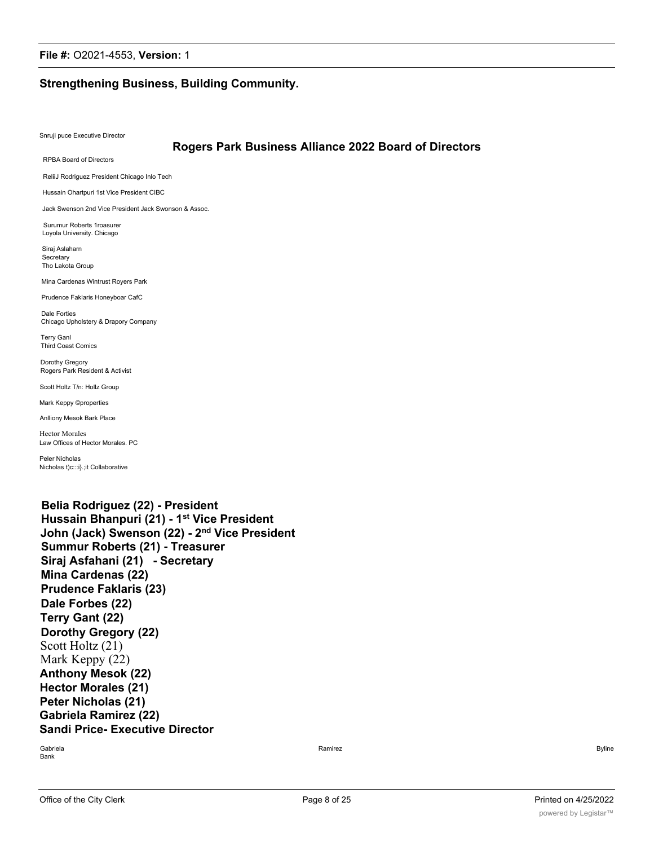#### **Strengthening Business, Building Community.**

Snruji puce Executive Director

#### **Rogers Park Business Alliance 2022 Board of Directors**

RPBA Board of Directors

ReliiJ Rodriguez President Chicago Inlo Tech

Hussain Ohartpuri 1st Vice President CIBC

Jack Swenson 2nd Vice President Jack Swonson & Assoc.

Surumur Roberts 1roasurer Loyola University. Chicago

Siraj Aslaharn **Secretary** Tho Lakota Group

Mina Cardenas Wintrust Royers Park

Prudence Faklaris Honeyboar CafC

Dale Forties Chicago Upholstery & Drapory Company

Terry Ganl Third Coast Comics

Dorothy Gregory Rogers Park Resident & Activist

Scott Holtz T/n: Hollz Group

Mark Keppy ©properties

Anlliony Mesok Bark Place

Hector Morales Law Offices of Hector Morales. PC

Peler Nicholas Nicholas t)c:::i}.;it Collaborative

**Belia Rodriguez (22) - President Hussain Bhanpuri (21) - 1st Vice President John (Jack) Swenson (22) - 2nd Vice President Summur Roberts (21) - Treasurer Siraj Asfahani (21) - Secretary Mina Cardenas (22) Prudence Faklaris (23) Dale Forbes (22) Terry Gant (22) Dorothy Gregory (22)** Scott Holtz (21) Mark Keppy (22) **Anthony Mesok (22) Hector Morales (21) Peter Nicholas (21) Gabriela Ramirez (22) Sandi Price- Executive Director**

Bank

Gabriela Ramirez eta Espainiaren 19a - Antonio Byline eta Espainiaren 19a - Antonio Barriera eta Espainiaren 1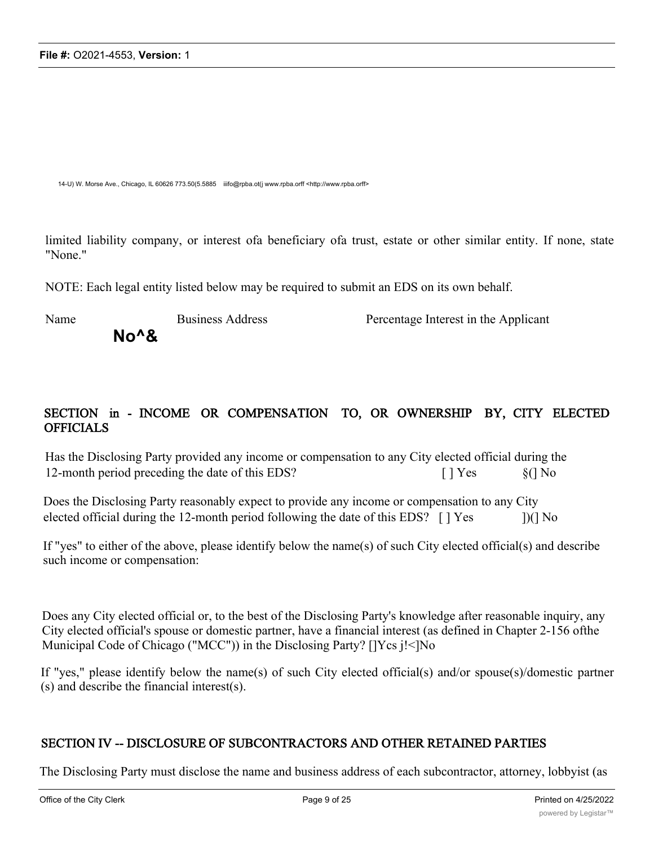14-U) W. Morse Ave., Chicago, IL 60626 773.50(5.5885 iiifo@rpba.ot(j www.rpba.orff <http://www.rpba.orff>

limited liability company, or interest ofa beneficiary ofa trust, estate or other similar entity. If none, state "None."

NOTE: Each legal entity listed below may be required to submit an EDS on its own behalf.

Name Business Address **Percentage Interest in the Applicant** 

**No^&**

# SECTION in - INCOME OR COMPENSATION TO, OR OWNERSHIP BY, CITY ELECTED OFFICIALS

Has the Disclosing Party provided any income or compensation to any City elected official during the 12-month period preceding the date of this EDS? [ ] Yes §(1 No

Does the Disclosing Party reasonably expect to provide any income or compensation to any City elected official during the 12-month period following the date of this EDS?  $\lceil \cdot \rceil$  Yes  $\lceil \cdot \rceil$  No

If "yes" to either of the above, please identify below the name(s) of such City elected official(s) and describe such income or compensation:

Does any City elected official or, to the best of the Disclosing Party's knowledge after reasonable inquiry, any City elected official's spouse or domestic partner, have a financial interest (as defined in Chapter 2-156 ofthe Municipal Code of Chicago ("MCC")) in the Disclosing Party? []Ycs j!<]No

If "yes," please identify below the name(s) of such City elected official(s) and/or spouse(s)/domestic partner (s) and describe the financial interest(s).

# SECTION IV -- DISCLOSURE OF SUBCONTRACTORS AND OTHER RETAINED PARTIES

The Disclosing Party must disclose the name and business address of each subcontractor, attorney, lobbyist (as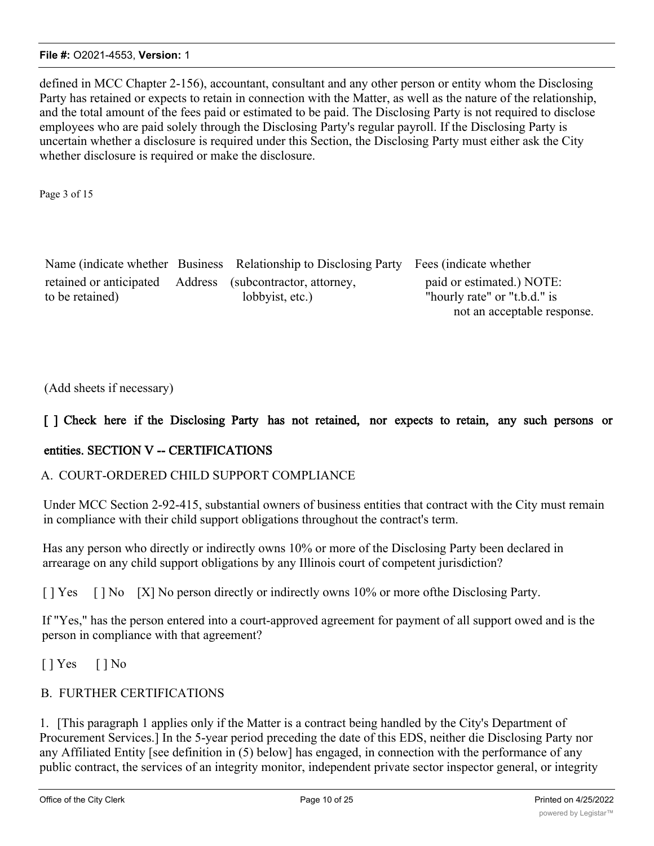defined in MCC Chapter 2-156), accountant, consultant and any other person or entity whom the Disclosing Party has retained or expects to retain in connection with the Matter, as well as the nature of the relationship, and the total amount of the fees paid or estimated to be paid. The Disclosing Party is not required to disclose employees who are paid solely through the Disclosing Party's regular payroll. If the Disclosing Party is uncertain whether a disclosure is required under this Section, the Disclosing Party must either ask the City whether disclosure is required or make the disclosure.

Page 3 of 15

|                 | Name (indicate whether Business Relationship to Disclosing Party Fees (indicate whether |                              |
|-----------------|-----------------------------------------------------------------------------------------|------------------------------|
|                 | retained or anticipated Address (subcontractor, attorney,                               | paid or estimated.) NOTE:    |
| to be retained) | lobbyist, etc.)                                                                         | "hourly rate" or "t.b.d." is |
|                 |                                                                                         | not an acceptable response.  |

(Add sheets if necessary)

# [ ] Check here if the Disclosing Party has not retained, nor expects to retain, any such persons or

# entities. SECTION V -- CERTIFICATIONS

### A. COURT-ORDERED CHILD SUPPORT COMPLIANCE

Under MCC Section 2-92-415, substantial owners of business entities that contract with the City must remain in compliance with their child support obligations throughout the contract's term.

Has any person who directly or indirectly owns 10% or more of the Disclosing Party been declared in arrearage on any child support obligations by any Illinois court of competent jurisdiction?

[ ] Yes [ ] No [X] No person directly or indirectly owns 10% or more of the Disclosing Party.

If "Yes," has the person entered into a court-approved agreement for payment of all support owed and is the person in compliance with that agreement?

 $[$  | Yes  $[$  | No

### B. FURTHER CERTIFICATIONS

1. [This paragraph 1 applies only if the Matter is a contract being handled by the City's Department of Procurement Services.] In the 5-year period preceding the date of this EDS, neither die Disclosing Party nor any Affiliated Entity [see definition in (5) below] has engaged, in connection with the performance of any public contract, the services of an integrity monitor, independent private sector inspector general, or integrity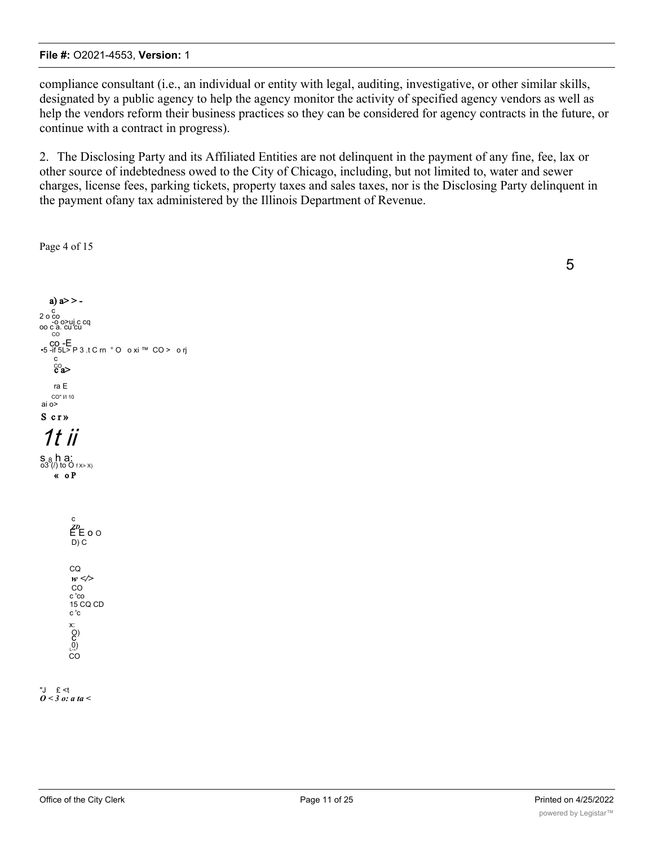compliance consultant (i.e., an individual or entity with legal, auditing, investigative, or other similar skills, designated by a public agency to help the agency monitor the activity of specified agency vendors as well as help the vendors reform their business practices so they can be considered for agency contracts in the future, or continue with a contract in progress).

2. The Disclosing Party and its Affiliated Entities are not delinguent in the payment of any fine, fee, lax or other source of indebtedness owed to the City of Chicago, including, but not limited to, water and sewer charges, license fees, parking tickets, property taxes and sales taxes, nor is the Disclosing Party delinquent in the payment of any tax administered by the Illinois Department of Revenue.

Page 4 of 15

```
a) a > -2 o co<br>-o o>uj c cq<br>oo c a. cu cu
     COCO - E<br>•5 - if 5L>P 3 .t C m ^{\circ} O o xi ™ CO > o rj
      \mathbf c\mathcal{E}_{a}^{\circ}ra E
     CO" I/I 10
 ai o>
 S cr»
  1t ii
S_8 h a:<br>03 (/) to O f x> x)
      \leftarrow o P
             \mathbf{c}E^{2D}E o o
             D) CCQw \ll\gtCOc'co
             15 CQ CD
            c'c
            \sum_{i=1}^{k}\tilde{0}CO"J f < t
```
 $0 < 3$  o: a ta <

5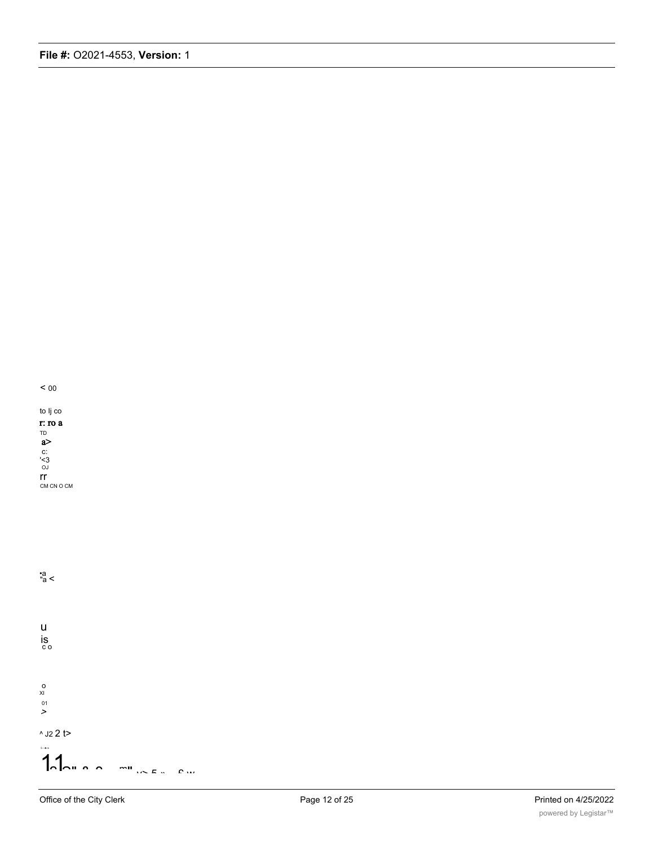

 $< 00$ 

to Ij co r: ro a TD

 $^{\wedge}$  J2 2 t>  $\frac{1}{2}$  $\overline{1}$  $\mathbb{P}^{\mathbf{H}}$  ,  $\mathbb{P}^{\mathbf{H}}$  ,  $\mathbb{P}^{\mathbf{H}}$  $\sim$  $\mathbf{e}$  ...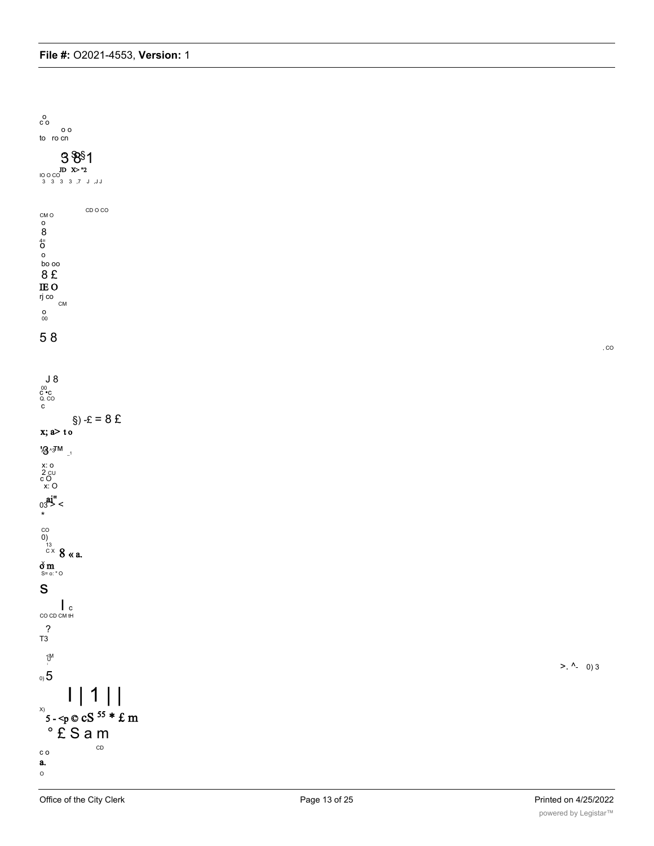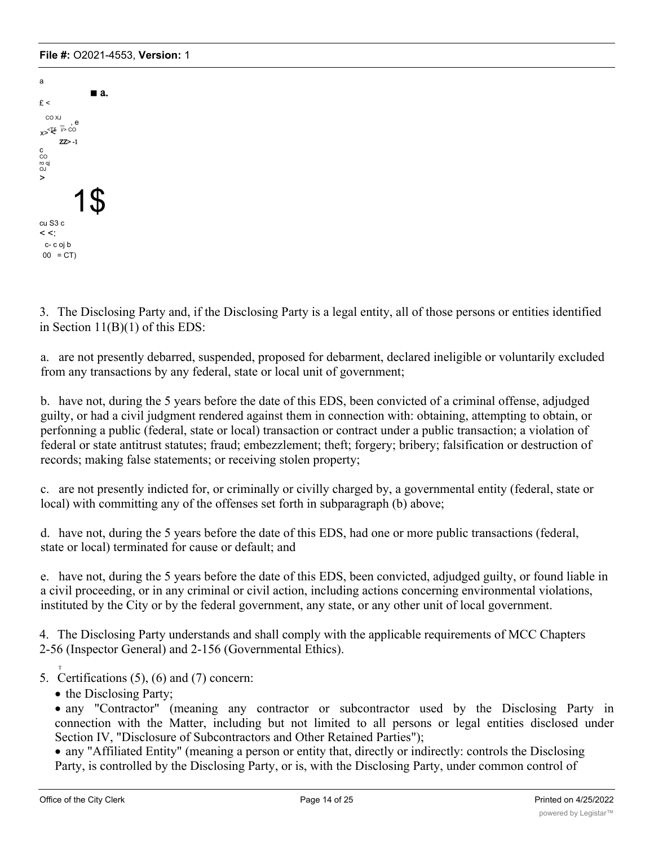

3. The Disclosing Party and, if the Disclosing Party is a legal entity, all of those persons or entities identified in Section 11(B)(1) of this EDS:

a. are not presently debarred, suspended, proposed for debarment, declared ineligible or voluntarily excluded from any transactions by any federal, state or local unit of government;

b. have not, during the 5 years before the date of this EDS, been convicted of a criminal offense, adjudged guilty, or had a civil judgment rendered against them in connection with: obtaining, attempting to obtain, or perfonning a public (federal, state or local) transaction or contract under a public transaction; a violation of federal or state antitrust statutes; fraud; embezzlement; theft; forgery; bribery; falsification or destruction of records; making false statements; or receiving stolen property;

c. are not presently indicted for, or criminally or civilly charged by, a governmental entity (federal, state or local) with committing any of the offenses set forth in subparagraph (b) above;

d. have not, during the 5 years before the date of this EDS, had one or more public transactions (federal, state or local) terminated for cause or default; and

e. have not, during the 5 years before the date of this EDS, been convicted, adjudged guilty, or found liable in a civil proceeding, or in any criminal or civil action, including actions concerning environmental violations, instituted by the City or by the federal government, any state, or any other unit of local government.

4. The Disclosing Party understands and shall comply with the applicable requirements of MCC Chapters 2-56 (Inspector General) and 2-156 (Governmental Ethics).

- T 5. Certifications (5), (6) and (7) concern:
	- the Disclosing Party;

· any "Contractor" (meaning any contractor or subcontractor used by the Disclosing Party in connection with the Matter, including but not limited to all persons or legal entities disclosed under Section IV, "Disclosure of Subcontractors and Other Retained Parties");

· any "Affiliated Entity" (meaning a person or entity that, directly or indirectly: controls the Disclosing Party, is controlled by the Disclosing Party, or is, with the Disclosing Party, under common control of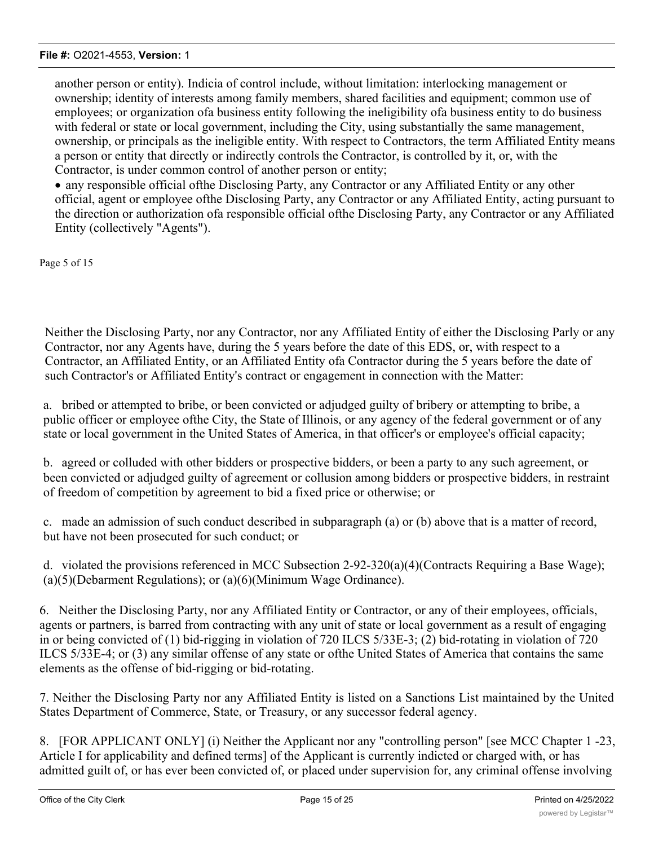another person or entity). Indicia of control include, without limitation: interlocking management or ownership; identity of interests among family members, shared facilities and equipment; common use of employees; or organization ofa business entity following the ineligibility ofa business entity to do business with federal or state or local government, including the City, using substantially the same management, ownership, or principals as the ineligible entity. With respect to Contractors, the term Affiliated Entity means a person or entity that directly or indirectly controls the Contractor, is controlled by it, or, with the Contractor, is under common control of another person or entity;

· any responsible official ofthe Disclosing Party, any Contractor or any Affiliated Entity or any other official, agent or employee ofthe Disclosing Party, any Contractor or any Affiliated Entity, acting pursuant to the direction or authorization ofa responsible official ofthe Disclosing Party, any Contractor or any Affiliated Entity (collectively "Agents").

Page 5 of 15

Neither the Disclosing Party, nor any Contractor, nor any Affiliated Entity of either the Disclosing Parly or any Contractor, nor any Agents have, during the 5 years before the date of this EDS, or, with respect to a Contractor, an Affiliated Entity, or an Affiliated Entity ofa Contractor during the 5 years before the date of such Contractor's or Affiliated Entity's contract or engagement in connection with the Matter:

a. bribed or attempted to bribe, or been convicted or adjudged guilty of bribery or attempting to bribe, a public officer or employee ofthe City, the State of Illinois, or any agency of the federal government or of any state or local government in the United States of America, in that officer's or employee's official capacity;

b. agreed or colluded with other bidders or prospective bidders, or been a party to any such agreement, or been convicted or adjudged guilty of agreement or collusion among bidders or prospective bidders, in restraint of freedom of competition by agreement to bid a fixed price or otherwise; or

c. made an admission of such conduct described in subparagraph (a) or (b) above that is a matter of record, but have not been prosecuted for such conduct; or

d. violated the provisions referenced in MCC Subsection 2-92-320(a)(4)(Contracts Requiring a Base Wage); (a)(5)(Debarment Regulations); or (a)(6)(Minimum Wage Ordinance).

6. Neither the Disclosing Party, nor any Affiliated Entity or Contractor, or any of their employees, officials, agents or partners, is barred from contracting with any unit of state or local government as a result of engaging in or being convicted of (1) bid-rigging in violation of 720 ILCS 5/33E-3; (2) bid-rotating in violation of 720 ILCS 5/33E-4; or (3) any similar offense of any state or ofthe United States of America that contains the same elements as the offense of bid-rigging or bid-rotating.

7. Neither the Disclosing Party nor any Affiliated Entity is listed on a Sanctions List maintained by the United States Department of Commerce, State, or Treasury, or any successor federal agency.

8. [FOR APPLICANT ONLY] (i) Neither the Applicant nor any "controlling person" [see MCC Chapter 1 -23, Article I for applicability and defined terms] of the Applicant is currently indicted or charged with, or has admitted guilt of, or has ever been convicted of, or placed under supervision for, any criminal offense involving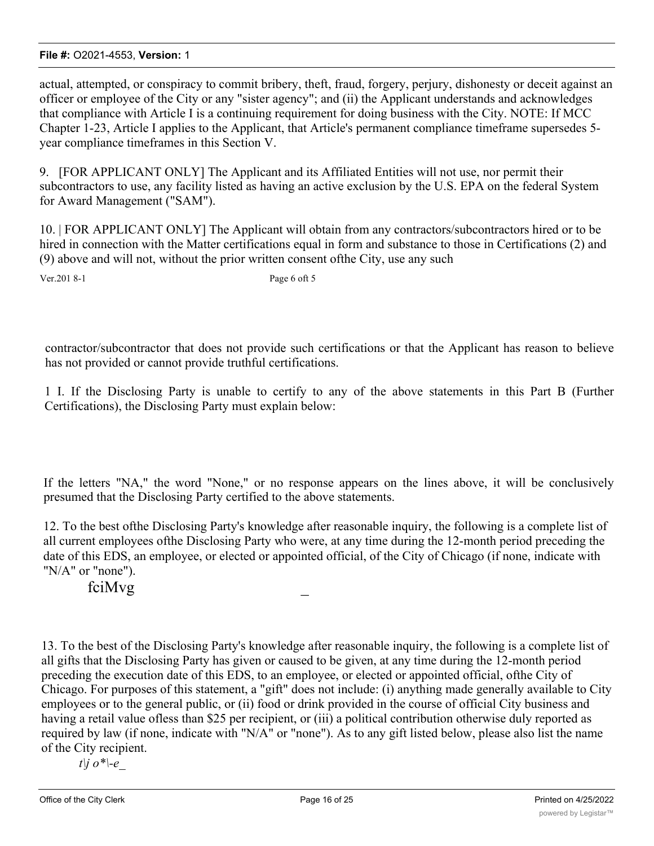actual, attempted, or conspiracy to commit bribery, theft, fraud, forgery, perjury, dishonesty or deceit against an officer or employee of the City or any "sister agency"; and (ii) the Applicant understands and acknowledges that compliance with Article I is a continuing requirement for doing business with the City. NOTE: If MCC Chapter 1-23, Article I applies to the Applicant, that Article's permanent compliance timeframe supersedes 5 year compliance timeframes in this Section V.

9. [FOR APPLICANT ONLY] The Applicant and its Affiliated Entities will not use, nor permit their subcontractors to use, any facility listed as having an active exclusion by the U.S. EPA on the federal System for Award Management ("SAM").

10. | FOR APPLICANT ONLY] The Applicant will obtain from any contractors/subcontractors hired or to be hired in connection with the Matter certifications equal in form and substance to those in Certifications (2) and (9) above and will not, without the prior written consent ofthe City, use any such

Ver.201 8-1 Page 6 oft 5

contractor/subcontractor that does not provide such certifications or that the Applicant has reason to believe has not provided or cannot provide truthful certifications.

1 I. If the Disclosing Party is unable to certify to any of the above statements in this Part B (Further Certifications), the Disclosing Party must explain below:

If the letters "NA," the word "None," or no response appears on the lines above, it will be conclusively presumed that the Disclosing Party certified to the above statements.

12. To the best ofthe Disclosing Party's knowledge after reasonable inquiry, the following is a complete list of all current employees ofthe Disclosing Party who were, at any time during the 12-month period preceding the date of this EDS, an employee, or elected or appointed official, of the City of Chicago (if none, indicate with "N/A" or "none").

fciMvg

13. To the best of the Disclosing Party's knowledge after reasonable inquiry, the following is a complete list of all gifts that the Disclosing Party has given or caused to be given, at any time during the 12-month period preceding the execution date of this EDS, to an employee, or elected or appointed official, ofthe City of Chicago. For purposes of this statement, a "gift" does not include: (i) anything made generally available to City employees or to the general public, or (ii) food or drink provided in the course of official City business and having a retail value ofless than \$25 per recipient, or (iii) a political contribution otherwise duly reported as required by law (if none, indicate with "N/A" or "none"). As to any gift listed below, please also list the name of the City recipient.

*t\j o*\*\-e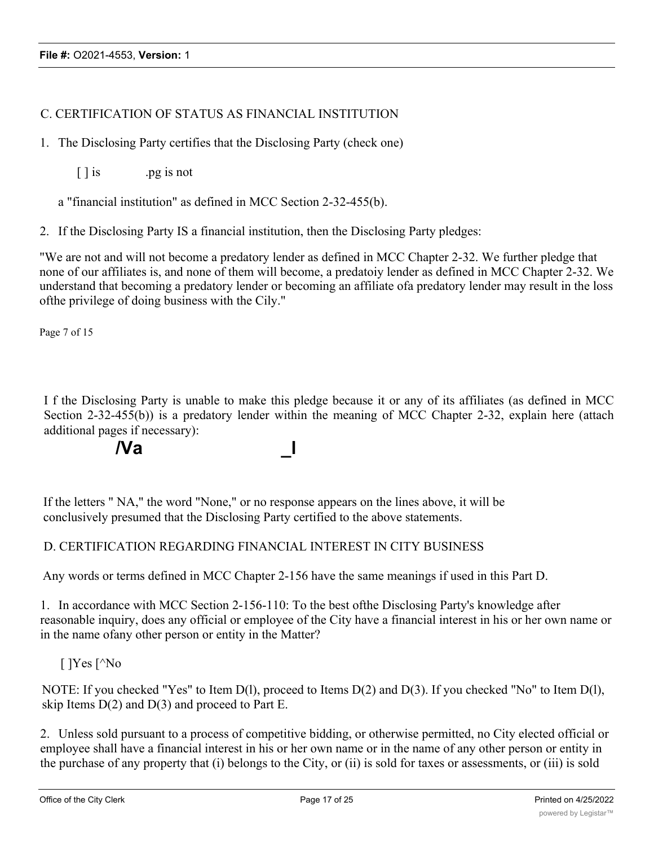#### C. CERTIFICATION OF STATUS AS FINANCIAL INSTITUTION

1. The Disclosing Party certifies that the Disclosing Party (check one)

[ ] is .pg is not

a "financial institution" as defined in MCC Section 2-32-455(b).

2. If the Disclosing Party IS a financial institution, then the Disclosing Party pledges:

"We are not and will not become a predatory lender as defined in MCC Chapter 2-32. We further pledge that none of our affiliates is, and none of them will become, a predatoiy lender as defined in MCC Chapter 2-32. We understand that becoming a predatory lender or becoming an affiliate ofa predatory lender may result in the loss ofthe privilege of doing business with the Cily."

Page 7 of 15

I f the Disclosing Party is unable to make this pledge because it or any of its affiliates (as defined in MCC Section 2-32-455(b)) is a predatory lender within the meaning of MCC Chapter 2-32, explain here (attach additional pages if necessary):

**/Va \_l**

If the letters " NA," the word "None," or no response appears on the lines above, it will be conclusively presumed that the Disclosing Party certified to the above statements.

# D. CERTIFICATION REGARDING FINANCIAL INTEREST IN CITY BUSINESS

Any words or terms defined in MCC Chapter 2-156 have the same meanings if used in this Part D.

1. In accordance with MCC Section 2-156-110: To the best ofthe Disclosing Party's knowledge after reasonable inquiry, does any official or employee of the City have a financial interest in his or her own name or in the name ofany other person or entity in the Matter?

[ ]Yes [^No

| NOTE: If you checked "Yes" to Item $D(1)$ , proceed to Items $D(2)$ and $D(3)$ . If you checked "No" to Item $D(1)$ , |  |
|-----------------------------------------------------------------------------------------------------------------------|--|
| skip Items $D(2)$ and $D(3)$ and proceed to Part E.                                                                   |  |

2. Unless sold pursuant to a process of competitive bidding, or otherwise permitted, no City elected official or employee shall have a financial interest in his or her own name or in the name of any other person or entity in the purchase of any property that (i) belongs to the City, or (ii) is sold for taxes or assessments, or (iii) is sold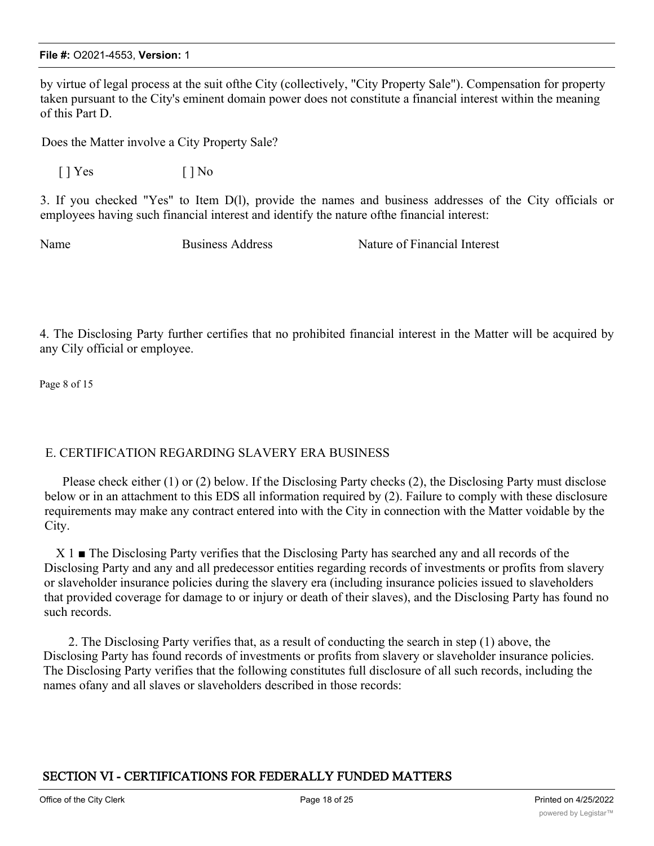by virtue of legal process at the suit ofthe City (collectively, "City Property Sale"). Compensation for property taken pursuant to the City's eminent domain power does not constitute a financial interest within the meaning of this Part D.

Does the Matter involve a City Property Sale?

 $[$  | Yes  $[$  | No

3. If you checked "Yes" to Item D(l), provide the names and business addresses of the City officials or employees having such financial interest and identify the nature ofthe financial interest:

Name Business Address Nature of Financial Interest

4. The Disclosing Party further certifies that no prohibited financial interest in the Matter will be acquired by any Cily official or employee.

Page 8 of 15

### E. CERTIFICATION REGARDING SLAVERY ERA BUSINESS

Please check either (1) or (2) below. If the Disclosing Party checks (2), the Disclosing Party must disclose below or in an attachment to this EDS all information required by (2). Failure to comply with these disclosure requirements may make any contract entered into with the City in connection with the Matter voidable by the City.

X 1 ■ The Disclosing Party verifies that the Disclosing Party has searched any and all records of the Disclosing Party and any and all predecessor entities regarding records of investments or profits from slavery or slaveholder insurance policies during the slavery era (including insurance policies issued to slaveholders that provided coverage for damage to or injury or death of their slaves), and the Disclosing Party has found no such records.

2. The Disclosing Party verifies that, as a result of conducting the search in step (1) above, the Disclosing Party has found records of investments or profits from slavery or slaveholder insurance policies. The Disclosing Party verifies that the following constitutes full disclosure of all such records, including the names ofany and all slaves or slaveholders described in those records:

### SECTION VI - CERTIFICATIONS FOR FEDERALLY FUNDED MATTERS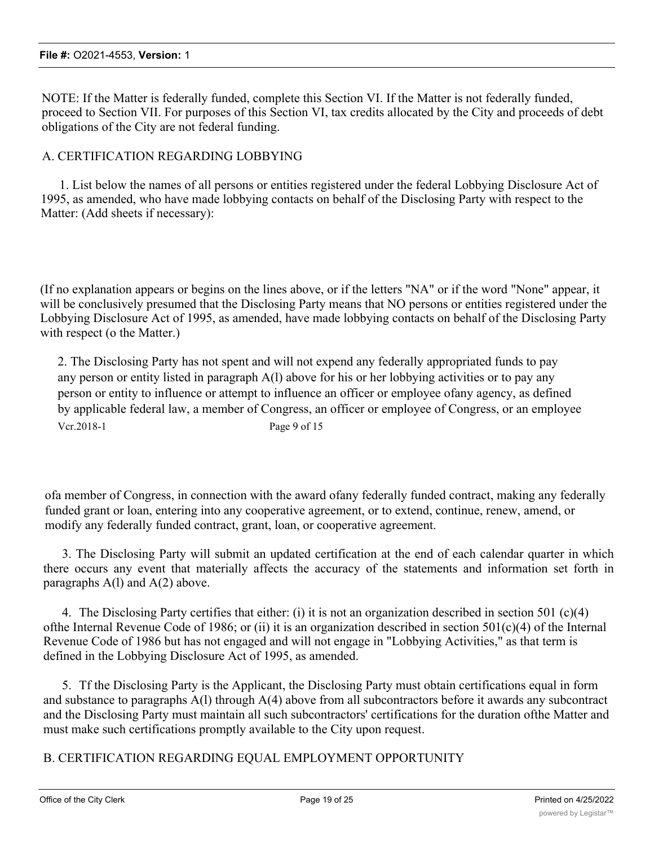NOTE: If the Matter is federally funded, complete this Section VI. If the Matter is not federally funded, proceed to Section VII. For purposes of this Section VI, tax credits allocated by the City and proceeds of debt obligations of the City are not federal funding.

# A. CERTIFICATION REGARDING LOBBYING

1. List below the names of all persons or entities registered under the federal Lobbying Disclosure Act of 1995, as amended, who have made lobbying contacts on behalf of the Disclosing Party with respect to the Matter: (Add sheets if necessary):

(If no explanation appears or begins on the lines above, or if the letters "NA" or if the word "None" appear, it will be conclusively presumed that the Disclosing Party means that NO persons or entities registered under the Lobbying Disclosure Act of 1995, as amended, have made lobbying contacts on behalf of the Disclosing Party with respect (o the Matter.)

2. The Disclosing Party has not spent and will not expend any federally appropriated funds to pay any person or entity listed in paragraph A(l) above for his or her lobbying activities or to pay any person or entity to influence or attempt to influence an officer or employee ofany agency, as defined by applicable federal law, a member of Congress, an officer or employee of Congress, or an employee Vcr.2018-1 Page 9 of 15

ofa member of Congress, in connection with the award ofany federally funded contract, making any federally funded grant or loan, entering into any cooperative agreement, or to extend, continue, renew, amend, or modify any federally funded contract, grant, loan, or cooperative agreement.

3. The Disclosing Party will submit an updated certification at the end of each calendar quarter in which there occurs any event that materially affects the accuracy of the statements and information set forth in paragraphs A(l) and A(2) above.

4. The Disclosing Party certifies that either: (i) it is not an organization described in section 501 (c)(4) ofthe Internal Revenue Code of 1986; or (ii) it is an organization described in section 501(c)(4) of the Internal Revenue Code of 1986 but has not engaged and will not engage in "Lobbying Activities," as that term is defined in the Lobbying Disclosure Act of 1995, as amended.

5. Tf the Disclosing Party is the Applicant, the Disclosing Party must obtain certifications equal in form and substance to paragraphs A(l) through A(4) above from all subcontractors before it awards any subcontract and the Disclosing Party must maintain all such subcontractors' certifications for the duration ofthe Matter and must make such certifications promptly available to the City upon request.

B. CERTIFICATION REGARDING EQUAL EMPLOYMENT OPPORTUNITY

If the Matter is federal regulations require the Matter is federal regulations require the Applicant and all proposed  $\alpha$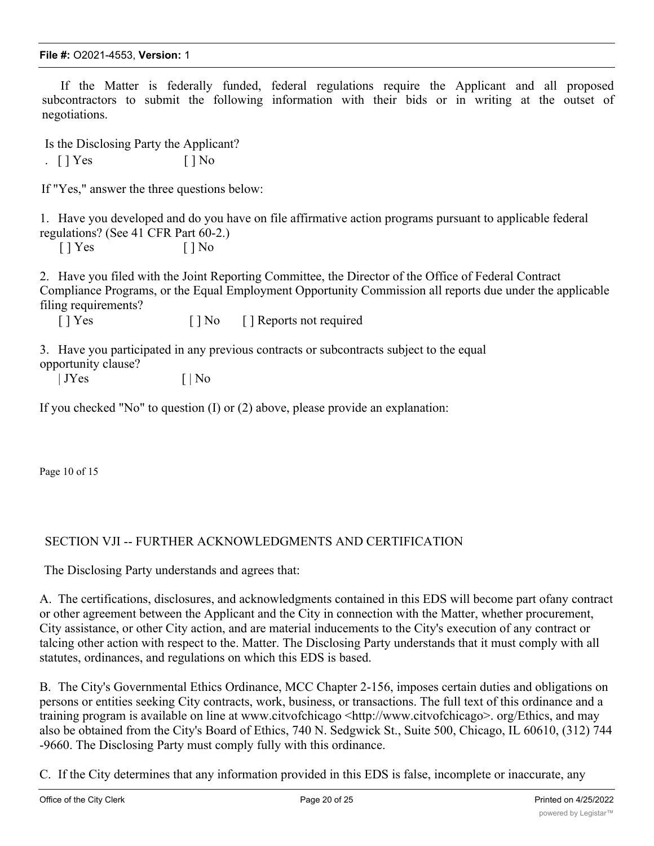| If the Matter is federally funded, federal regulations require the Applicant and all proposed<br>subcontractors to submit the following information with their bids or in writing at the outset of<br>negotiations.                      |                          |                               |  |  |  |  |  |
|------------------------------------------------------------------------------------------------------------------------------------------------------------------------------------------------------------------------------------------|--------------------------|-------------------------------|--|--|--|--|--|
| Is the Disclosing Party the Applicant?                                                                                                                                                                                                   |                          |                               |  |  |  |  |  |
| $\lceil$   Yes                                                                                                                                                                                                                           | $\lceil \cdot \rceil$ No |                               |  |  |  |  |  |
| If "Yes," answer the three questions below:                                                                                                                                                                                              |                          |                               |  |  |  |  |  |
| 1. Have you developed and do you have on file affirmative action programs pursuant to applicable federal<br>regulations? (See 41 CFR Part 60-2.)<br>$\lceil$   Yes                                                                       | $\lceil \cdot \rceil$ No |                               |  |  |  |  |  |
| 2. Have you filed with the Joint Reporting Committee, the Director of the Office of Federal Contract<br>Compliance Programs, or the Equal Employment Opportunity Commission all reports due under the applicable<br>filing requirements? |                          |                               |  |  |  |  |  |
| $[$   Yes                                                                                                                                                                                                                                |                          | [] No [] Reports not required |  |  |  |  |  |
| 3. Have you participated in any previous contracts or subcontracts subject to the equal<br>opportunity clause?                                                                                                                           |                          |                               |  |  |  |  |  |
| <b>JYes</b>                                                                                                                                                                                                                              | $\lceil  N_{0}$          |                               |  |  |  |  |  |
| If you checked "No" to question $(I)$ or $(2)$ above, please provide an explanation:                                                                                                                                                     |                          |                               |  |  |  |  |  |

Page 10 of 15

### SECTION VJI -- FURTHER ACKNOWLEDGMENTS AND CERTIFICATION

The Disclosing Party understands and agrees that:

A. The certifications, disclosures, and acknowledgments contained in this EDS will become part ofany contract or other agreement between the Applicant and the City in connection with the Matter, whether procurement, City assistance, or other City action, and are material inducements to the City's execution of any contract or talcing other action with respect to the. Matter. The Disclosing Party understands that it must comply with all statutes, ordinances, and regulations on which this EDS is based.

B. The City's Governmental Ethics Ordinance, MCC Chapter 2-156, imposes certain duties and obligations on persons or entities seeking City contracts, work, business, or transactions. The full text of this ordinance and a training program is available on line at www.citvofchicago <http://www.citvofchicago>. org/Ethics, and may also be obtained from the City's Board of Ethics, 740 N. Sedgwick St., Suite 500, Chicago, IL 60610, (312) 744 -9660. The Disclosing Party must comply fully with this ordinance.

C. If the City determines that any information provided in this EDS is false, incomplete or inaccurate, any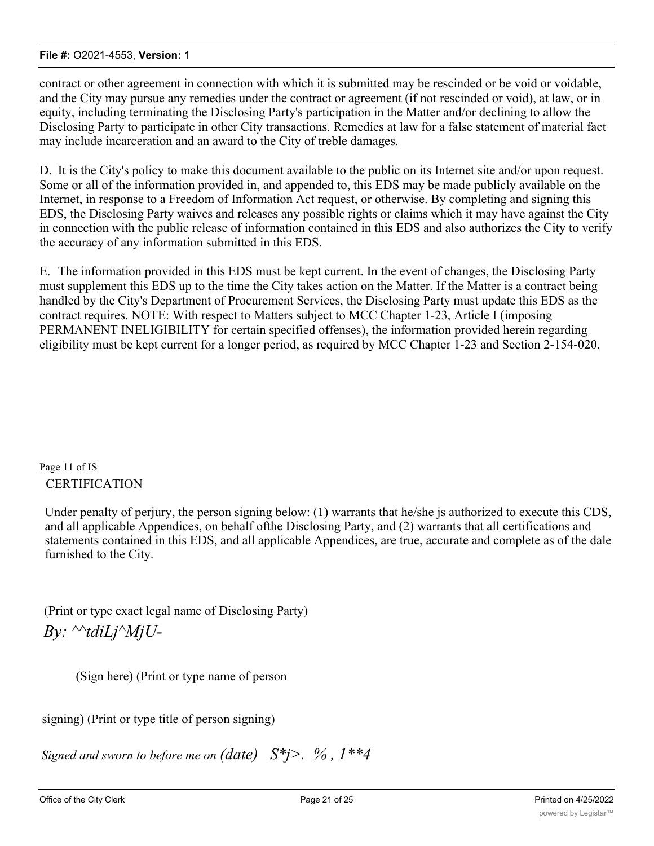contract or other agreement in connection with which it is submitted may be rescinded or be void or voidable, and the City may pursue any remedies under the contract or agreement (if not rescinded or void), at law, or in equity, including terminating the Disclosing Party's participation in the Matter and/or declining to allow the Disclosing Party to participate in other City transactions. Remedies at law for a false statement of material fact may include incarceration and an award to the City of treble damages.

D. It is the City's policy to make this document available to the public on its Internet site and/or upon request. Some or all of the information provided in, and appended to, this EDS may be made publicly available on the Internet, in response to a Freedom of Information Act request, or otherwise. By completing and signing this EDS, the Disclosing Party waives and releases any possible rights or claims which it may have against the City in connection with the public release of information contained in this EDS and also authorizes the City to verify the accuracy of any information submitted in this EDS.

E. The information provided in this EDS must be kept current. In the event of changes, the Disclosing Party must supplement this EDS up to the time the City takes action on the Matter. If the Matter is a contract being handled by the City's Department of Procurement Services, the Disclosing Party must update this EDS as the contract requires. NOTE: With respect to Matters subject to MCC Chapter 1-23, Article I (imposing PERMANENT INELIGIBILITY for certain specified offenses), the information provided herein regarding eligibility must be kept current for a longer period, as required by MCC Chapter 1-23 and Section 2-154-020.

Page 11 of IS **CERTIFICATION** 

Under penalty of perjury, the person signing below: (1) warrants that he/she is authorized to execute this CDS, and all applicable Appendices, on behalf ofthe Disclosing Party, and (2) warrants that all certifications and statements contained in this EDS, and all applicable Appendices, are true, accurate and complete as of the dale furnished to the City.

(Print or type exact legal name of Disclosing Party) *By: ^^tdiLj^MjU-*

(Sign here) (Print or type name of person

signing) (Print or type title of person signing)

*Signed and sworn to before me on (date) S\*j>. % , 1\*\*4*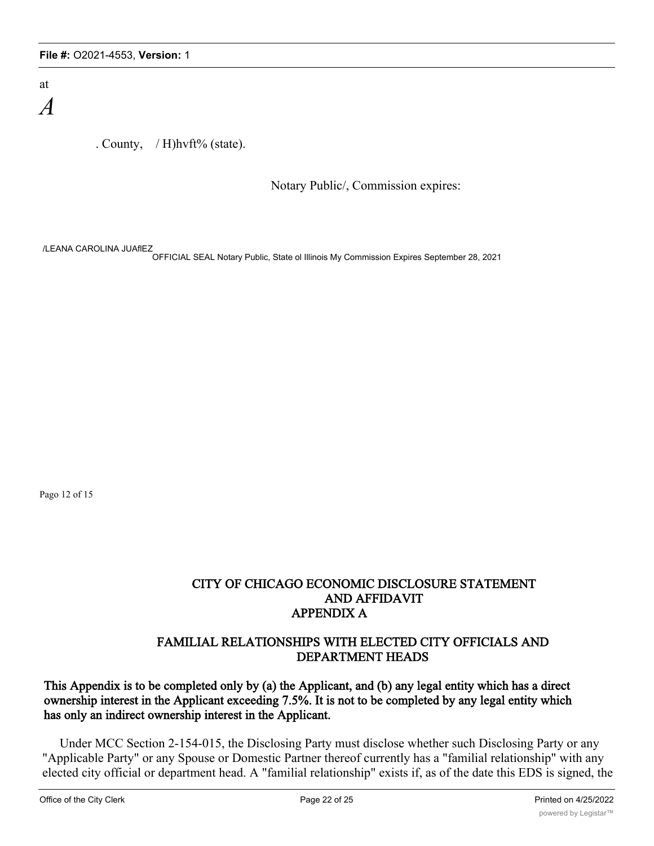# at *A*

. County,  $/H$ )hvft% (state).

Notary Public/, Commission expires:

/LEANA CAROLINA JUAflEZ

OFFICIAL SEAL Notary Public, State ol Illinois My Commission Expires September 28, 2021

Pago 12 of 15

### CITY OF CHICAGO ECONOMIC DISCLOSURE STATEMENT AND AFFIDAVIT APPENDIX A

# FAMILIAL RELATIONSHIPS WITH ELECTED CITY OFFICIALS AND DEPARTMENT HEADS

# This Appendix is to be completed only by (a) the Applicant, and (b) any legal entity which has a direct ownership interest in the Applicant exceeding 7.5%. It is not to be completed by any legal entity which has only an indirect ownership interest in the Applicant.

Under MCC Section 2-154-015, the Disclosing Party must disclose whether such Disclosing Party or any "Applicable Party" or any Spouse or Domestic Partner thereof currently has a "familial relationship" with any elected city official or department head. A "familial relationship" exists if, as of the date this EDS is signed, the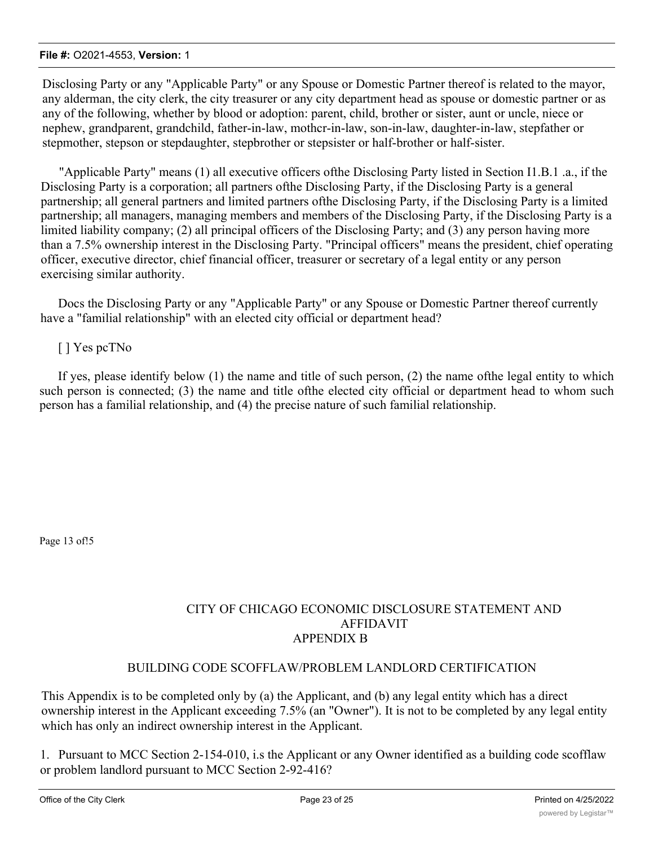Disclosing Party or any "Applicable Party" or any Spouse or Domestic Partner thereof is related to the mayor, any alderman, the city clerk, the city treasurer or any city department head as spouse or domestic partner or as any of the following, whether by blood or adoption: parent, child, brother or sister, aunt or uncle, niece or nephew, grandparent, grandchild, father-in-law, mothcr-in-law, son-in-law, daughter-in-law, stepfather or stepmother, stepson or stepdaughter, stepbrother or stepsister or half-brother or half-sister.

"Applicable Party" means (1) all executive officers ofthe Disclosing Party listed in Section I1.B.1 .a., if the Disclosing Party is a corporation; all partners ofthe Disclosing Party, if the Disclosing Party is a general partnership; all general partners and limited partners ofthe Disclosing Party, if the Disclosing Party is a limited partnership; all managers, managing members and members of the Disclosing Party, if the Disclosing Party is a limited liability company; (2) all principal officers of the Disclosing Party; and (3) any person having more than a 7.5% ownership interest in the Disclosing Party. "Principal officers" means the president, chief operating officer, executive director, chief financial officer, treasurer or secretary of a legal entity or any person exercising similar authority.

Docs the Disclosing Party or any "Applicable Party" or any Spouse or Domestic Partner thereof currently have a "familial relationship" with an elected city official or department head?

# [ ] Yes pcTNo

If yes, please identify below (1) the name and title of such person, (2) the name ofthe legal entity to which such person is connected; (3) the name and title ofthe elected city official or department head to whom such person has a familial relationship, and (4) the precise nature of such familial relationship.

Page 13 of!5

# CITY OF CHICAGO ECONOMIC DISCLOSURE STATEMENT AND AFFIDAVIT APPENDIX B

# BUILDING CODE SCOFFLAW/PROBLEM LANDLORD CERTIFICATION

This Appendix is to be completed only by (a) the Applicant, and (b) any legal entity which has a direct ownership interest in the Applicant exceeding 7.5% (an "Owner"). It is not to be completed by any legal entity which has only an indirect ownership interest in the Applicant.

1. Pursuant to MCC Section 2-154-010, i.s the Applicant or any Owner identified as a building code scofflaw or problem landlord pursuant to MCC Section 2-92-416?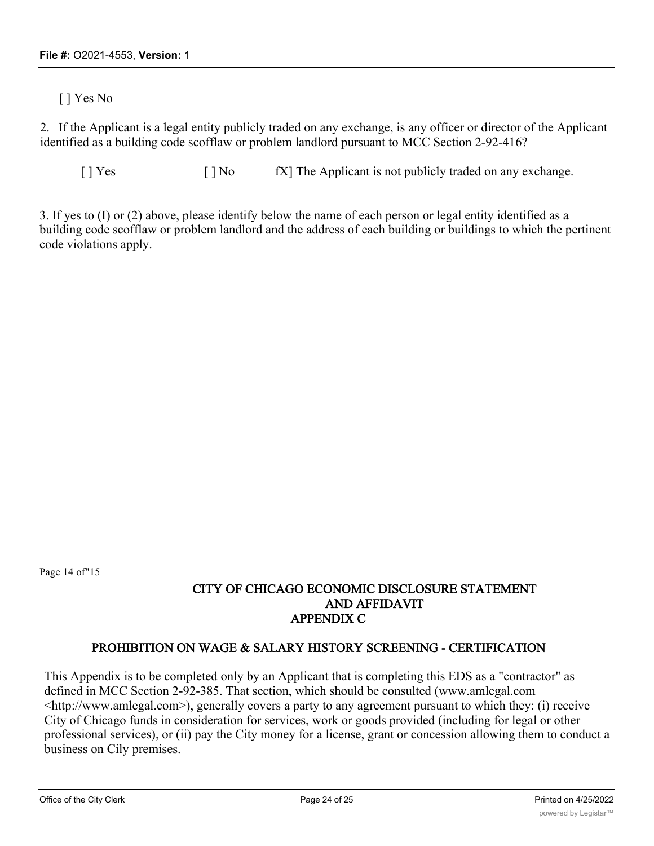[ ] Yes No

2. If the Applicant is a legal entity publicly traded on any exchange, is any officer or director of the Applicant identified as a building code scofflaw or problem landlord pursuant to MCC Section 2-92-416?

[ ] Yes [ ] No fX] The Applicant is not publicly traded on any exchange.

3. If yes to (I) or (2) above, please identify below the name of each person or legal entity identified as a building code scofflaw or problem landlord and the address of each building or buildings to which the pertinent code violations apply.

Page 14 of"15

# CITY OF CHICAGO ECONOMIC DISCLOSURE STATEMENT AND AFFIDAVIT APPENDIX C

# PROHIBITION ON WAGE & SALARY HISTORY SCREENING - CERTIFICATION

This Appendix is to be completed only by an Applicant that is completing this EDS as a "contractor" as defined in MCC Section 2-92-385. That section, which should be consulted (www.amlegal.com <http://www.amlegal.com>), generally covers a party to any agreement pursuant to which they: (i) receive City of Chicago funds in consideration for services, work or goods provided (including for legal or other professional services), or (ii) pay the City money for a license, grant or concession allowing them to conduct a business on Cily premises.